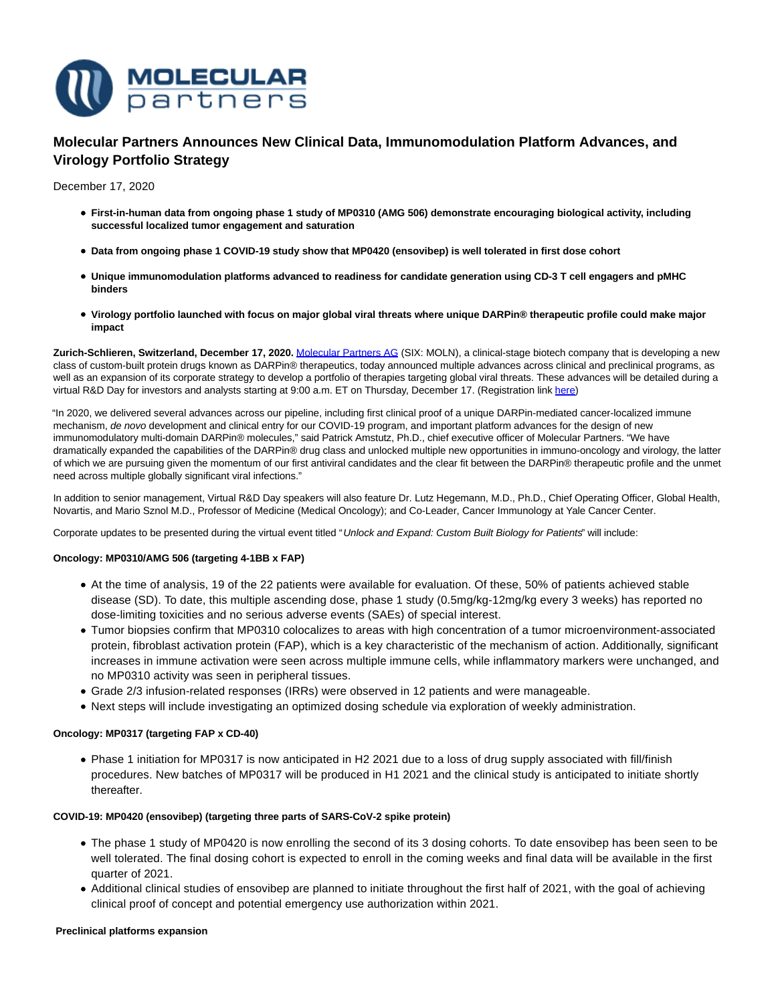

# **Molecular Partners Announces New Clinical Data, Immunomodulation Platform Advances, and Virology Portfolio Strategy**

December 17, 2020

- **First-in-human data from ongoing phase 1 study of MP0310 (AMG 506) demonstrate encouraging biological activity, including successful localized tumor engagement and saturation**
- **Data from ongoing phase 1 COVID-19 study show that MP0420 (ensovibep) is well tolerated in first dose cohort**
- **Unique immunomodulation platforms advanced to readiness for candidate generation using CD-3 T cell engagers and pMHC binders**
- **Virology portfolio launched with focus on major global viral threats where unique DARPin® therapeutic profile could make major impact**

**Zurich-Schlieren, Switzerland, December 17, 2020.** [Molecular Partners AG \(](https://www.molecularpartners.com/)SIX: MOLN), a clinical-stage biotech company that is developing a new class of custom-built protein drugs known as DARPin® therapeutics, today announced multiple advances across clinical and preclinical programs, as well as an expansion of its corporate strategy to develop a portfolio of therapies targeting global viral threats. These advances will be detailed during a virtual R&D Day for investors and analysts starting at 9:00 a.m. ET on Thursday, December 17. (Registration lin[k here\)](https://onlinexperiences.com/scripts/Server.nxp?LASCmd=AI:4;F:QS!10100&ShowUUID=FAA3D90B-C912-417A-9946-87D9D09182F4)

"In 2020, we delivered several advances across our pipeline, including first clinical proof of a unique DARPin-mediated cancer-localized immune mechanism, de novo development and clinical entry for our COVID-19 program, and important platform advances for the design of new immunomodulatory multi-domain DARPin® molecules," said Patrick Amstutz, Ph.D., chief executive officer of Molecular Partners. "We have dramatically expanded the capabilities of the DARPin® drug class and unlocked multiple new opportunities in immuno-oncology and virology, the latter of which we are pursuing given the momentum of our first antiviral candidates and the clear fit between the DARPin® therapeutic profile and the unmet need across multiple globally significant viral infections."

In addition to senior management, Virtual R&D Day speakers will also feature Dr. Lutz Hegemann, M.D., Ph.D., Chief Operating Officer, Global Health, Novartis, and Mario Sznol M.D., Professor of Medicine (Medical Oncology); and Co-Leader, Cancer Immunology at Yale Cancer Center.

Corporate updates to be presented during the virtual event titled "Unlock and Expand: Custom Built Biology for Patients" will include:

# **Oncology: MP0310/AMG 506 (targeting 4-1BB x FAP)**

- At the time of analysis, 19 of the 22 patients were available for evaluation. Of these, 50% of patients achieved stable disease (SD). To date, this multiple ascending dose, phase 1 study (0.5mg/kg-12mg/kg every 3 weeks) has reported no dose-limiting toxicities and no serious adverse events (SAEs) of special interest.
- Tumor biopsies confirm that MP0310 colocalizes to areas with high concentration of a tumor microenvironment-associated protein, fibroblast activation protein (FAP), which is a key characteristic of the mechanism of action. Additionally, significant increases in immune activation were seen across multiple immune cells, while inflammatory markers were unchanged, and no MP0310 activity was seen in peripheral tissues.
- Grade 2/3 infusion-related responses (IRRs) were observed in 12 patients and were manageable.
- Next steps will include investigating an optimized dosing schedule via exploration of weekly administration.

# **Oncology: MP0317 (targeting FAP x CD-40)**

Phase 1 initiation for MP0317 is now anticipated in H2 2021 due to a loss of drug supply associated with fill/finish procedures. New batches of MP0317 will be produced in H1 2021 and the clinical study is anticipated to initiate shortly thereafter.

# **COVID-19: MP0420 (ensovibep) (targeting three parts of SARS-CoV-2 spike protein)**

- The phase 1 study of MP0420 is now enrolling the second of its 3 dosing cohorts. To date ensovibep has been seen to be well tolerated. The final dosing cohort is expected to enroll in the coming weeks and final data will be available in the first quarter of 2021.
- Additional clinical studies of ensovibep are planned to initiate throughout the first half of 2021, with the goal of achieving clinical proof of concept and potential emergency use authorization within 2021.

#### **Preclinical platforms expansion**